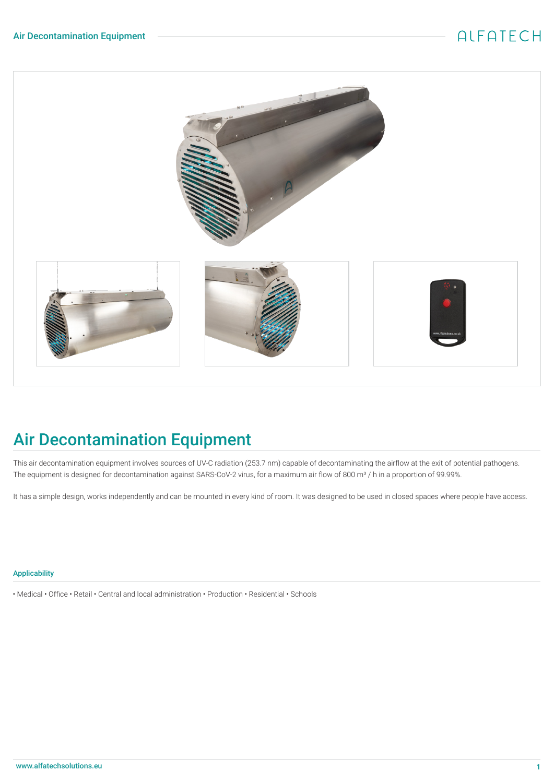

# Air Decontamination Equipment

This air decontamination equipment involves sources of UV-C radiation (253.7 nm) capable of decontaminating the airflow at the exit of potential pathogens. The equipment is designed for decontamination against SARS-CoV-2 virus, for a maximum air flow of 800 m<sup>3</sup> / h in a proportion of 99.99%.

It has a simple design, works independently and can be mounted in every kind of room. It was designed to be used in closed spaces where people have access.

#### Applicability

• Medical • Office • Retail • Central and local administration • Production • Residential • Schools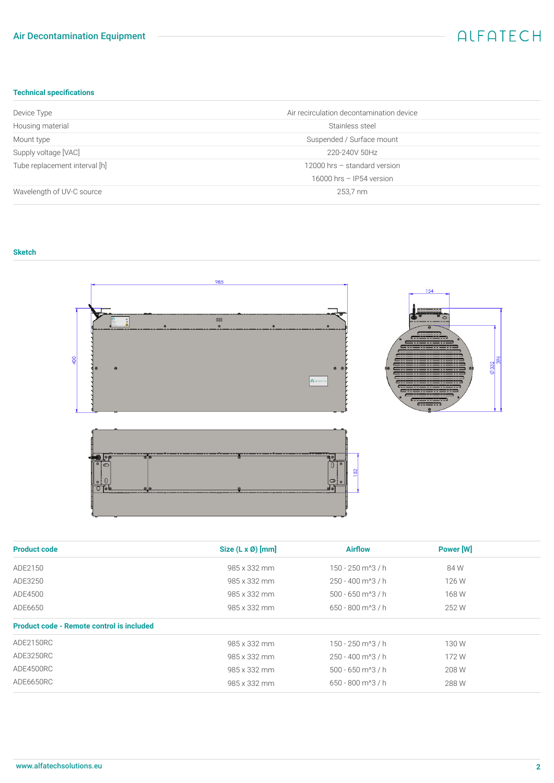### Air Decontamination Equipment

### ALFATECH

### **Technical specifications**

| Device Type                   | Air recirculation decontamination device |
|-------------------------------|------------------------------------------|
| Housing material              | Stainless steel                          |
| Mount type                    | Suspended / Surface mount                |
| Supply voltage [VAC]          | 220-240V 50Hz                            |
| Tube replacement interval [h] | 12000 hrs - standard version             |
|                               | 16000 hrs - IP54 version                 |
| Wavelength of UV-C source     | 253,7 nm                                 |

#### **Sketch**



| <b>Product code</b>                              | Size (L x Ø) [mm] | <b>Airflow</b>                   | Power [W] |  |
|--------------------------------------------------|-------------------|----------------------------------|-----------|--|
| ADE2150                                          | 985 x 332 mm      | 150 - 250 m <sup>2</sup> 3 / h   | 84 W      |  |
| ADE3250                                          | 985 x 332 mm      | 250 - 400 m <sup>2</sup> 3 / h   | 126 W     |  |
| ADE4500                                          | 985 x 332 mm      | $500 - 650$ m <sup>2</sup> 3 / h | 168 W     |  |
| ADE6650                                          | 985 x 332 mm      | $650 - 800$ m <sup>2</sup> 3 / h | 252 W     |  |
| <b>Product code - Remote control is included</b> |                   |                                  |           |  |
| ADE2150RC                                        | 985 x 332 mm      | $150 - 250$ m <sup>2</sup> 3 / h | 130W      |  |
| ADE3250RC                                        | 985 x 332 mm      | 250 - 400 m <sup>2</sup> 3 / h   | 172W      |  |
| ADE4500RC                                        | 985 x 332 mm      | $500 - 650$ m <sup>2</sup> 3 / h | 208 W     |  |
| ADE6650RC                                        | 985 x 332 mm      | $650 - 800$ m <sup>^3</sup> / h  | 288 W     |  |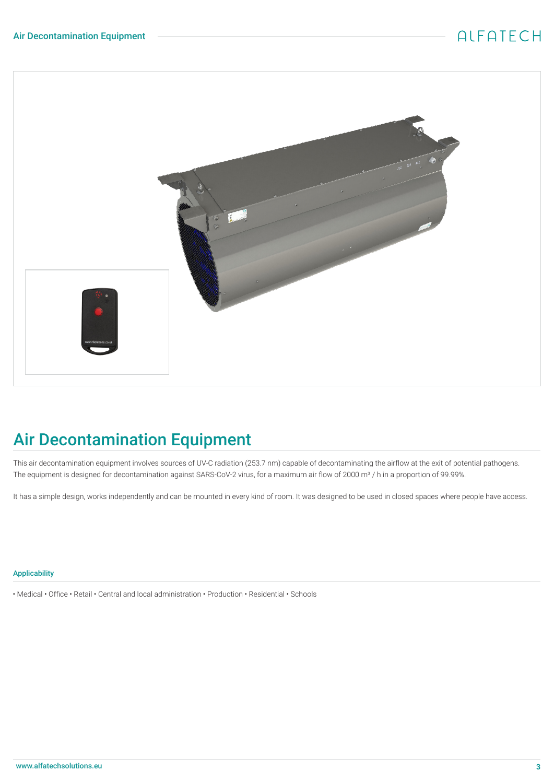### ALFATECH



# Air Decontamination Equipment

This air decontamination equipment involves sources of UV-C radiation (253.7 nm) capable of decontaminating the airflow at the exit of potential pathogens. The equipment is designed for decontamination against SARS-CoV-2 virus, for a maximum air flow of 2000 m<sup>3</sup> / h in a proportion of 99.99%.

It has a simple design, works independently and can be mounted in every kind of room. It was designed to be used in closed spaces where people have access.

#### Applicability

• Medical • Office • Retail • Central and local administration • Production • Residential • Schools